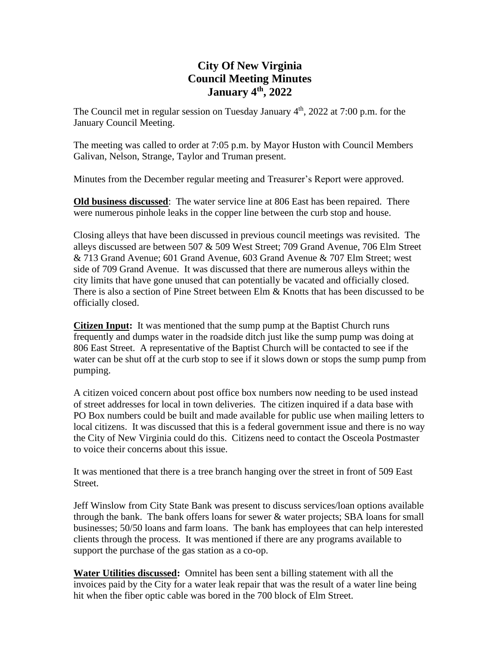## **City Of New Virginia Council Meeting Minutes January 4 th , 2022**

The Council met in regular session on Tuesday January 4<sup>th</sup>, 2022 at 7:00 p.m. for the January Council Meeting.

The meeting was called to order at 7:05 p.m. by Mayor Huston with Council Members Galivan, Nelson, Strange, Taylor and Truman present.

Minutes from the December regular meeting and Treasurer's Report were approved.

**Old business discussed**: The water service line at 806 East has been repaired. There were numerous pinhole leaks in the copper line between the curb stop and house.

Closing alleys that have been discussed in previous council meetings was revisited. The alleys discussed are between 507 & 509 West Street; 709 Grand Avenue, 706 Elm Street & 713 Grand Avenue; 601 Grand Avenue, 603 Grand Avenue & 707 Elm Street; west side of 709 Grand Avenue. It was discussed that there are numerous alleys within the city limits that have gone unused that can potentially be vacated and officially closed. There is also a section of Pine Street between Elm & Knotts that has been discussed to be officially closed.

**Citizen Input:** It was mentioned that the sump pump at the Baptist Church runs frequently and dumps water in the roadside ditch just like the sump pump was doing at 806 East Street. A representative of the Baptist Church will be contacted to see if the water can be shut off at the curb stop to see if it slows down or stops the sump pump from pumping.

A citizen voiced concern about post office box numbers now needing to be used instead of street addresses for local in town deliveries. The citizen inquired if a data base with PO Box numbers could be built and made available for public use when mailing letters to local citizens. It was discussed that this is a federal government issue and there is no way the City of New Virginia could do this. Citizens need to contact the Osceola Postmaster to voice their concerns about this issue.

It was mentioned that there is a tree branch hanging over the street in front of 509 East Street.

Jeff Winslow from City State Bank was present to discuss services/loan options available through the bank. The bank offers loans for sewer & water projects; SBA loans for small businesses; 50/50 loans and farm loans. The bank has employees that can help interested clients through the process. It was mentioned if there are any programs available to support the purchase of the gas station as a co-op.

**Water Utilities discussed:** Omnitel has been sent a billing statement with all the invoices paid by the City for a water leak repair that was the result of a water line being hit when the fiber optic cable was bored in the 700 block of Elm Street.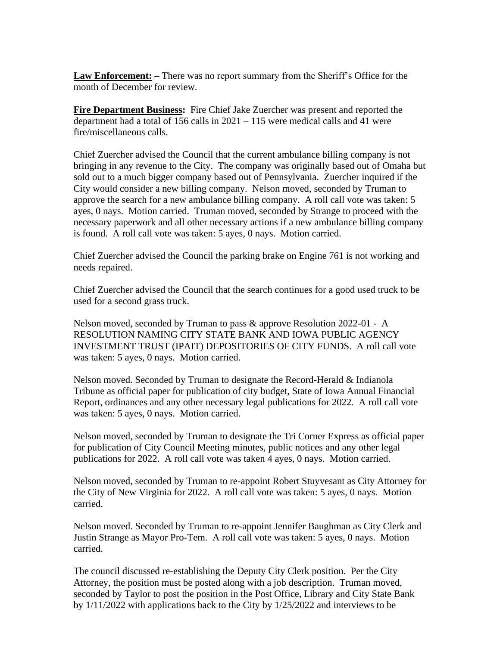**Law Enforcement: –** There was no report summary from the Sheriff's Office for the month of December for review.

**Fire Department Business:** Fire Chief Jake Zuercher was present and reported the department had a total of 156 calls in  $2021 - 115$  were medical calls and 41 were fire/miscellaneous calls.

Chief Zuercher advised the Council that the current ambulance billing company is not bringing in any revenue to the City. The company was originally based out of Omaha but sold out to a much bigger company based out of Pennsylvania. Zuercher inquired if the City would consider a new billing company. Nelson moved, seconded by Truman to approve the search for a new ambulance billing company. A roll call vote was taken: 5 ayes, 0 nays. Motion carried. Truman moved, seconded by Strange to proceed with the necessary paperwork and all other necessary actions if a new ambulance billing company is found. A roll call vote was taken: 5 ayes, 0 nays. Motion carried.

Chief Zuercher advised the Council the parking brake on Engine 761 is not working and needs repaired.

Chief Zuercher advised the Council that the search continues for a good used truck to be used for a second grass truck.

Nelson moved, seconded by Truman to pass & approve Resolution 2022-01 - A RESOLUTION NAMING CITY STATE BANK AND IOWA PUBLIC AGENCY INVESTMENT TRUST (IPAIT) DEPOSITORIES OF CITY FUNDS. A roll call vote was taken: 5 ayes, 0 nays. Motion carried.

Nelson moved. Seconded by Truman to designate the Record-Herald & Indianola Tribune as official paper for publication of city budget, State of Iowa Annual Financial Report, ordinances and any other necessary legal publications for 2022. A roll call vote was taken: 5 ayes, 0 nays. Motion carried.

Nelson moved, seconded by Truman to designate the Tri Corner Express as official paper for publication of City Council Meeting minutes, public notices and any other legal publications for 2022. A roll call vote was taken 4 ayes, 0 nays. Motion carried.

Nelson moved, seconded by Truman to re-appoint Robert Stuyvesant as City Attorney for the City of New Virginia for 2022. A roll call vote was taken: 5 ayes, 0 nays. Motion carried.

Nelson moved. Seconded by Truman to re-appoint Jennifer Baughman as City Clerk and Justin Strange as Mayor Pro-Tem. A roll call vote was taken: 5 ayes, 0 nays. Motion carried.

The council discussed re-establishing the Deputy City Clerk position. Per the City Attorney, the position must be posted along with a job description. Truman moved, seconded by Taylor to post the position in the Post Office, Library and City State Bank by 1/11/2022 with applications back to the City by 1/25/2022 and interviews to be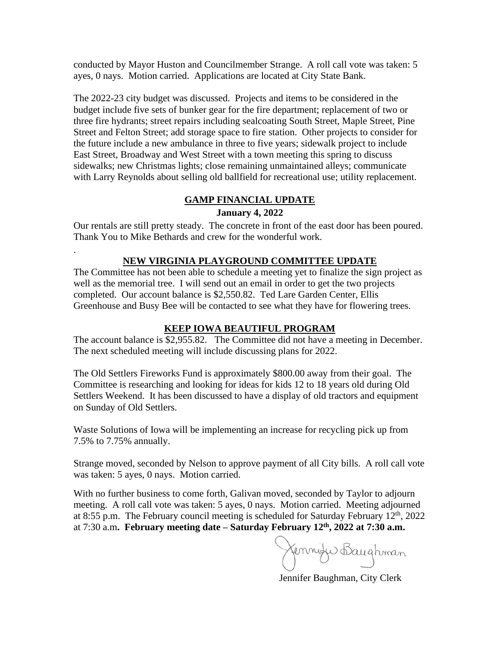conducted by Mayor Huston and Councilmember Strange. A roll call vote was taken: 5 ayes, 0 nays. Motion carried. Applications are located at City State Bank.

The 2022-23 city budget was discussed. Projects and items to be considered in the budget include five sets of bunker gear for the fire department; replacement of two or three fire hydrants; street repairs including sealcoating South Street, Maple Street, Pine Street and Felton Street; add storage space to fire station. Other projects to consider for the future include a new ambulance in three to five years; sidewalk project to include East Street, Broadway and West Street with a town meeting this spring to discuss sidewalks; new Christmas lights; close remaining unmaintained alleys; communicate with Larry Reynolds about selling old ballfield for recreational use; utility replacement.

### **GAMP FINANCIAL UPDATE**

### **January 4, 2022**

Our rentals are still pretty steady. The concrete in front of the east door has been poured. Thank You to Mike Bethards and crew for the wonderful work.

#### **NEW VIRGINIA PLAYGROUND COMMITTEE UPDATE**

.

The Committee has not been able to schedule a meeting yet to finalize the sign project as well as the memorial tree. I will send out an email in order to get the two projects completed. Our account balance is \$2,550.82. Ted Lare Garden Center, Ellis Greenhouse and Busy Bee will be contacted to see what they have for flowering trees.

#### **KEEP IOWA BEAUTIFUL PROGRAM**

The account balance is \$2,955.82. The Committee did not have a meeting in December. The next scheduled meeting will include discussing plans for 2022.

The Old Settlers Fireworks Fund is approximately \$800.00 away from their goal. The Committee is researching and looking for ideas for kids 12 to 18 years old during Old Settlers Weekend. It has been discussed to have a display of old tractors and equipment on Sunday of Old Settlers.

Waste Solutions of Iowa will be implementing an increase for recycling pick up from 7.5% to 7.75% annually.

Strange moved, seconded by Nelson to approve payment of all City bills. A roll call vote was taken: 5 ayes, 0 nays. Motion carried.

With no further business to come forth, Galivan moved, seconded by Taylor to adjourn meeting. A roll call vote was taken: 5 ayes, 0 nays. Motion carried. Meeting adjourned at 8:55 p.m. The February council meeting is scheduled for Saturday February  $12<sup>th</sup>$ , 2022 at 7:30 a.m**. February meeting date – Saturday February 12th , 2022 at 7:30 a.m.** 

Jennife Baughman

Jennifer Baughman, City Clerk